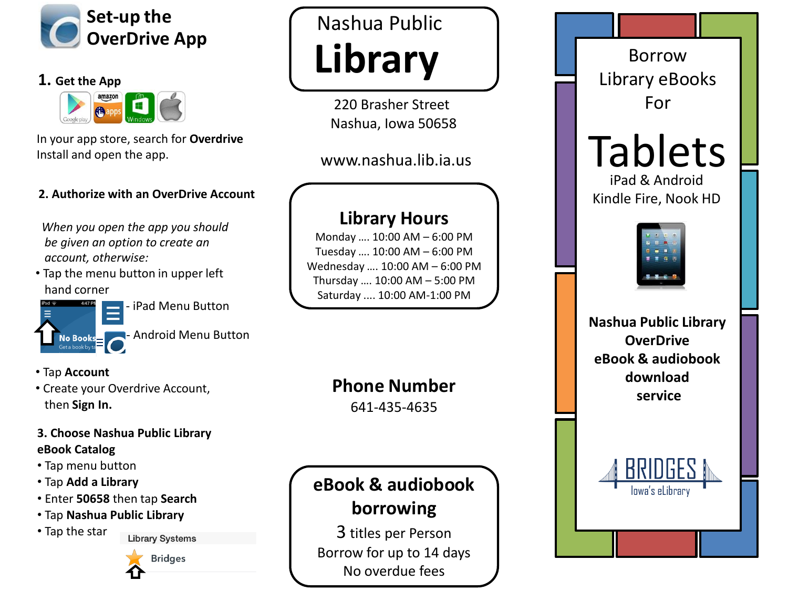

### **1. Get the App**



In your app store, search for **Overdrive** Install and open the app.

#### **2. Authorize with an OverDrive Account**

*When you open the app you should be given an option to create an account, otherwise:*

• Tap the menu button in upper left hand corner



- iPad Menu Button

**Android Menu Button** 

- Tap **Account**
- Create your Overdrive Account, then **Sign In.**

## **3. Choose Nashua Public Library eBook Catalog**

- Tap menu button
- Tap **Add a Library**
- Enter **50658** then tap **Search**
- Tap **Nashua Public Library**
- Tap the star



**Library Systems** 

# **Library** Nashua Public

220 Brasher Street Nashua, Iowa 50658

www.nashua.lib.ia.us

# **Library Hours**

Monday …. 10:00 AM – 6:00 PM Tuesday …. 10:00 AM – 6:00 PM Wednesday …. 10:00 AM – 6:00 PM Thursday …. 10:00 AM – 5:00 PM Saturday .... 10:00 AM -1:00 PM

**Phone Number**

641 -435 -4635

# **eBook & audiobook borrowing**

3 titles per Person Borrow for up to 14 days No overdue fees